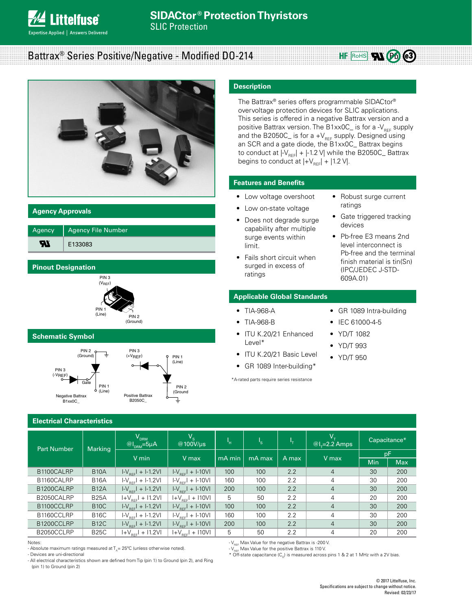# Battrax® Series Positive/Negative - Modified DO-214



## **Agency Approvals**

| Agency | <b>Agency File Number</b> |
|--------|---------------------------|
| ъ      | E133083                   |

# **Pinout Designation**



# **Schematic Symbol**



# **Electrical Characteristics**

#### Part Number | Marking  $\bm{\mathsf{V}}_{\mathtt{DRM}}$  $@I_{DRM} = 5\mu A$  $\begin{array}{c} V_{\rm s} \ \text{\textcircled{\tiny{100V/\mu s}}} \end{array}$  | I <sub>H</sub> | I  $\begin{array}{c|c} \mathsf{s} & \mathsf{l} & \mathsf{l} \end{array}$  $\begin{array}{c|c} V_{\tau} & \text{Capacitance*} \ \hline \text{$\mathcal{Q} \mid_{\tau}$=2.2 Amps} & \text{Capacitance*} \end{array}$ V min  $V$  max  $\vert$  mA min  $\vert$  mA max  $\vert$  A max  $\vert$  V max  $\vert$   $\vert$   $\vert$   $\vert$   $\vert$   $\vert$   $\vert$ Min Max B1100CALRP B10A I-V<sub>REF</sub>I + I-1.2VI I-V<sub>REF</sub>I + I-10VI 100 100 2.2 4 30 200 B1160CALRP B16A I-V<sub>REF</sub>I + I-1.2VI I-V<sub>REF</sub>I + I-10VI 160 100 2.2 4 30 200<br>B1200CALRP B12A I-V<sub>REF</sub>I + I-1.2VI I-V<sub>REF</sub>I + I-10VI 200 100 2.2 4 30 200  $1-V_{BEE}$  + I-1.2VI B2050CALRP B25A I+V<sub>REF</sub>I + I1.2VI I +V<sub>REF</sub>I + I10VI 5 50 2.2 4 20 200<br>B1100CCLRP B10C I-V<sub>REF</sub>I + I-1.2VI I-V<sub>REF</sub>I + I-10VI 100 100 2.2 4 30 200 B1100CCLRP B10C I-V<sub>REF</sub>I + I-1.2VI I-V<sub>REF</sub>I + I-10VI 100 100 2.2 4 30 200<br>B1160CCLRP B16C I-V<sub>REF</sub>I + I-1.2VI I-V<sub>REF</sub>I + I-10VI 160 100 2.2 4 30 200 B1160CCLRP | B16C | I-V<sub>REF</sub>I + I-1.2VI | I-V<sub>REF</sub>I + I-10VI | 160 | 100 | 2.2 | 4 | 30 | 200 B1200CCLRP B12C I-V<sub>REF</sub>I + I-1.2VI I-V<sub>REF</sub>I + I-10VI 200 100 2.2 4 30 200 B2050CCLRP | B25C | I+V<sub>REF</sub>I + I1.2VI | I+V<sub>REF</sub>I + I10VI | 5 | 50 | 2.2 | 4 | 20 | 200

#### Notes:

- V<sub>REF</sub> Max Value for the negative Battrax is -200 V.
- $-V_{\text{rec}}$  Max Value for the positive Battrax is 110 V.

\* Off-state capacitance  $(C_0)$  is measured across pins 1 & 2 at 1 MHz with a 2V bias.

- All electrical characteristics shown are defined from Tip (pin 1) to Ground (pin 2), and Ring (pin 1) to Ground (pin 2)

**Description**

The Battrax® series offers programmable SIDACtor® overvoltage protection devices for SLIC applications. This series is offered in a negative Battrax version and a positive Battrax version. The B1xx0C\_ is for a - $V_{RFF}$  supply and the B2050C\_ is for a  $+V_{REF}$  supply. Designed using an SCR and a gate diode, the B1xx0C\_ Battrax begins to conduct at  $|V_{\text{ref}}|$  +  $|$ -1.2 V| while the B2050C\_ Battrax begins to conduct at  $|+V_{\text{ref}}| + |1.2 V|$ .

# **Features and Benefits**

- Low voltage overshoot
- Low on-state voltage
- Does not degrade surge capability after multiple surge events within limit.
- Fails short circuit when surged in excess of ratings

# **Applicable Global Standards**

- TIA-968-A
- TIA-968-B
- ITU K.20/21 Enhanced Level\*
- ITU K.20/21 Basic Level
- GR 1089 Inter-building\*

\*A-rated parts require series resistance

• GR 1089 Intra-building

• Robust surge current

HF ROHS  $\mathbf{R}$   $\mathbf{\Theta}$   $\mathbf{e}$ 3)

• Gate triggered tracking

• Pb-free E3 means 2nd level interconnect is Pb-free and the terminal finish material is tin(Sn) (IPC/JEDEC J-STD-

ratings

devices

• IEC 61000-4-5

609A.01)

- YD/T 1082
- YD/T 993
- YD/T 950
- 
- 
- 

<sup>-</sup> Absolute maximum ratings measured at  $T_A$  = 25°C (unless otherwise noted). - Devices are uni-directional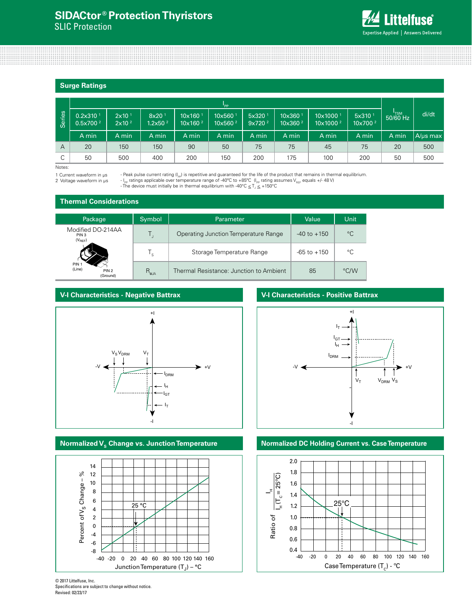# **SIDACtor ® Protection Thyristors**  SLIC Protection

**Littelfuse**® Expertise Applied | Answers Delivered

## **Surge Ratings**

|                | "PP                                          |                                       |                                          |                                          |                               |                                          |                                            |                                              |                                           |                  |          |
|----------------|----------------------------------------------|---------------------------------------|------------------------------------------|------------------------------------------|-------------------------------|------------------------------------------|--------------------------------------------|----------------------------------------------|-------------------------------------------|------------------|----------|
| Series         | 0.2x310 <sup>1</sup><br>0.5x700 <sup>2</sup> | 2x10 <sup>1</sup><br>$2\times10^{-2}$ | $8x20$ <sup>1</sup><br>$1.2\times50^{2}$ | 10x160 <sup>1</sup><br>$10\times160^{2}$ | 10x560<br>10x560 <sup>2</sup> | 5x320 <sup>1</sup><br>9x720 <sup>2</sup> | 10x360 <sup>1</sup><br>10x360 <sup>2</sup> | 10x1000 <sup>1</sup><br>10x1000 <sup>2</sup> | 5x310 <sup>1</sup><br>10x700 <sup>2</sup> | "TSM<br>50/60 Hz | di/dt    |
|                | A min                                        | A min                                 | A min                                    | A min                                    | A min                         | A min                                    | A min                                      | A min                                        | A min                                     | A min            | A/µs max |
| $\overline{A}$ | 20                                           | 150                                   | 150                                      | 90                                       | 50                            | 75                                       | 75                                         | 45                                           | 75                                        | 20               | 500      |
| С              | 50                                           | 500                                   | 400                                      | 200                                      | 150                           | 200                                      | 175                                        | 100                                          | 200                                       | 50               | 500      |

Notes:

1 Current waveform in µs

2 Voltage waveform in us

- Peak pulse current rating (I<sub>PP</sub>) is repetitive and guaranteed for the life of the product that remains in thermal equilibrium. - I<sub>PP</sub> ratings applicable over temperature range of -40°C to +85°C (I<sub>PP</sub> rating assumes V<sub>REF</sub> equals +/- 48 V)

- The device must initially be in thermal equilibrium with -40°C  $\leq T_{\text{J}} \leq +150$ °C

## **Thermal Considerations**

| Package                                                    | Symbol         | Value                                   | Unit            |             |
|------------------------------------------------------------|----------------|-----------------------------------------|-----------------|-------------|
| Modified DO-214AA<br>PIN 3<br>$(V_{REF})$                  |                | Operating Junction Temperature Range    | $-40$ to $+150$ | $^{\circ}C$ |
|                                                            | 's             | Storage Temperature Range               | $-65$ to $+150$ | °C          |
| PIN <sub>1</sub><br>(Line)<br>PIN <sub>2</sub><br>(Ground) | $R_{\theta$ JA | Thermal Resistance: Junction to Ambient | 85              | °C/W        |

## **V-I Characteristics - Negative Battrax**





# **V-I Characteristics - Positive Battrax**



# **Normalized V<sub>s</sub> Change vs. Junction Temperature <b>Normalized DC Holding Current vs. Case Temperature**

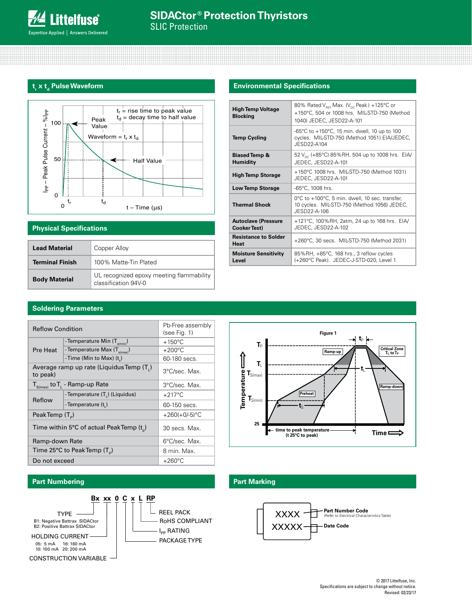# t<sub>,</sub> x t<sub>d</sub> Pulse Waveform



# **Physical Specifications**

| <b>Lead Material</b>   | Copper Alloy                                                     |
|------------------------|------------------------------------------------------------------|
| <b>Terminal Finish</b> | 100% Matte-Tin Plated                                            |
| <b>Body Material</b>   | UL recognized epoxy meeting flammability<br>classification 94V-0 |

# **Environmental Specifications**

| <b>High Temp Voltage</b><br><b>Blocking</b>       | 80% Rated $V_{\text{ref}}$ Max. ( $V_{\text{nc}}$ Peak) +125°C or<br>+150°C, 504 or 1008 hrs. MIL-STD-750 (Method<br>1040) JEDEC, JESD22-A-101 |  |  |  |  |  |
|---------------------------------------------------|------------------------------------------------------------------------------------------------------------------------------------------------|--|--|--|--|--|
| <b>Temp Cycling</b>                               | -65°C to +150°C, 15 min. dwell, 10 up to 100<br>cycles. MIL-STD-750 (Method 1051) EIA/JEDEC,<br>JFSD22-A104                                    |  |  |  |  |  |
| <b>Biased Temp &amp;</b><br><b>Humidity</b>       | 52 $V_{\text{nc}}$ (+85°C) 85%RH, 504 up to 1008 hrs. EIA/<br>JEDEC, JESD22-A-101                                                              |  |  |  |  |  |
| <b>High Temp Storage</b>                          | +150°C 1008 hrs. MIL-STD-750 (Method 1031)<br>JEDEC, JESD22-A-101                                                                              |  |  |  |  |  |
| <b>Low Temp Storage</b>                           | -65°C, 1008 hrs.                                                                                                                               |  |  |  |  |  |
| <b>Thermal Shock</b>                              | 0°C to +100°C, 5 min. dwell, 10 sec. transfer,<br>10 cycles. MIL-STD-750 (Method 1056) JEDEC,<br>JFSD22-A-106                                  |  |  |  |  |  |
| <b>Autoclave (Pressure</b><br><b>Cooker Test)</b> | +121°C, 100%RH, 2atm, 24 up to 168 hrs. EIA/<br>JEDEC, JESD22-A-102                                                                            |  |  |  |  |  |
| <b>Resistance to Solder</b><br><b>Heat</b>        | +260°C, 30 secs. MIL-STD-750 (Method 2031)                                                                                                     |  |  |  |  |  |
| <b>Moisture Sensitivity</b><br>Level              | 85%RH, +85°C, 168 hrs., 3 reflow cycles<br>(+260°C Peak). JEDEC-J-STD-020, Level 1                                                             |  |  |  |  |  |

# **Soldering Parameters**

| <b>Reflow Condition</b>                              | Pb-Free assembly<br>(see Fig. 1)                   |                  |  |
|------------------------------------------------------|----------------------------------------------------|------------------|--|
|                                                      | -Temperature Min $(T_{\text{s/min}})$              | $+150^{\circ}$ C |  |
| Pre Heat                                             | - Temperature Max (T <sub>s(max)</sub> )           | $+200^{\circ}$ C |  |
|                                                      | -Time (Min to Max) (t)                             | 60-180 secs.     |  |
| Average ramp up rate (Liquidus Temp (T.)<br>to peak) | 3°C/sec. Max.                                      |                  |  |
| $T_{S(max)}$ to $T_{L}$ - Ramp-up Rate               | 3°C/sec. Max.                                      |                  |  |
| Reflow                                               | - Temperature $(T_1)$ (Liquidus)                   | $+217^{\circ}$ C |  |
|                                                      | -Temperature (t,)                                  | 60-150 secs.     |  |
| PeakTemp (T <sub>a</sub> )                           |                                                    | $+260(+0/-5)$ °C |  |
| Time within 5°C of actual PeakTemp $(t_{n})$         | 30 secs. Max.                                      |                  |  |
| Ramp-down Rate                                       |                                                    | 6°C/sec. Max.    |  |
|                                                      | Time 25 $\degree$ C to Peak Temp (T <sub>o</sub> ) | 8 min. Max.      |  |
| Do not exceed                                        |                                                    | $+260^{\circ}$ C |  |



# **Part Numbering Part Marking**